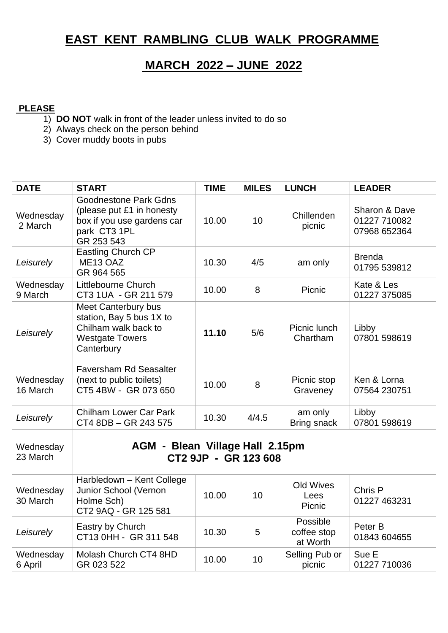## **EAST KENT RAMBLING CLUB WALK PROGRAMME**

## **MARCH 2022 – JUNE 2022**

## **PLEASE**

- 1) **DO NOT** walk in front of the leader unless invited to do so
- 2) Always check on the person behind
- 3) Cover muddy boots in pubs

| <b>DATE</b>           | <b>START</b>                                                                                                           | <b>TIME</b> | <b>MILES</b> | <b>LUNCH</b>                        | <b>LEADER</b>                                 |  |  |
|-----------------------|------------------------------------------------------------------------------------------------------------------------|-------------|--------------|-------------------------------------|-----------------------------------------------|--|--|
| Wednesday<br>2 March  | <b>Goodnestone Park Gdns</b><br>(please put £1 in honesty<br>box if you use gardens car<br>park CT3 1PL<br>GR 253 543  | 10.00       | 10           | Chillenden<br>picnic                | Sharon & Dave<br>01227 710082<br>07968 652364 |  |  |
| Leisurely             | <b>Eastling Church CP</b><br>ME <sub>13</sub> OAZ<br>GR 964 565                                                        | 10.30       | 4/5          | am only                             | <b>Brenda</b><br>01795 539812                 |  |  |
| Wednesday<br>9 March  | Littlebourne Church<br>CT3 1UA - GR 211 579                                                                            | 10.00       | 8            | Picnic                              | Kate & Les<br>01227 375085                    |  |  |
| Leisurely             | <b>Meet Canterbury bus</b><br>station, Bay 5 bus 1X to<br>Chilham walk back to<br><b>Westgate Towers</b><br>Canterbury | 11.10       | 5/6          | Picnic lunch<br>Chartham            | Libby<br>07801 598619                         |  |  |
| Wednesday<br>16 March | <b>Faversham Rd Seasalter</b><br>(next to public toilets)<br>CT5 4BW - GR 073 650                                      | 10.00       | 8            | Picnic stop<br>Graveney             | Ken & Lorna<br>07564 230751                   |  |  |
| Leisurely             | <b>Chilham Lower Car Park</b><br>CT4 8DB - GR 243 575                                                                  | 10.30       | 4/4.5        | am only<br>Bring snack              | Libby<br>07801 598619                         |  |  |
| Wednesday<br>23 March | <b>AGM - Blean Village Hall 2.15pm</b><br>CT2 9JP - GR 123 608                                                         |             |              |                                     |                                               |  |  |
| Wednesday<br>30 March | Harbledown - Kent College<br>Junior School (Vernon<br>Holme Sch)<br>CT2 9AQ - GR 125 581                               | 10.00       | 10           | Old Wives<br>Lees<br>Picnic         | Chris P<br>01227 463231                       |  |  |
| Leisurely             | Eastry by Church<br>CT13 0HH - GR 311 548                                                                              | 10.30       | 5            | Possible<br>coffee stop<br>at Worth | Peter B<br>01843 604655                       |  |  |
| Wednesday<br>6 April  | Molash Church CT4 8HD<br>GR 023 522                                                                                    | 10.00       | 10           | Selling Pub or<br>picnic            | Sue E<br>01227 710036                         |  |  |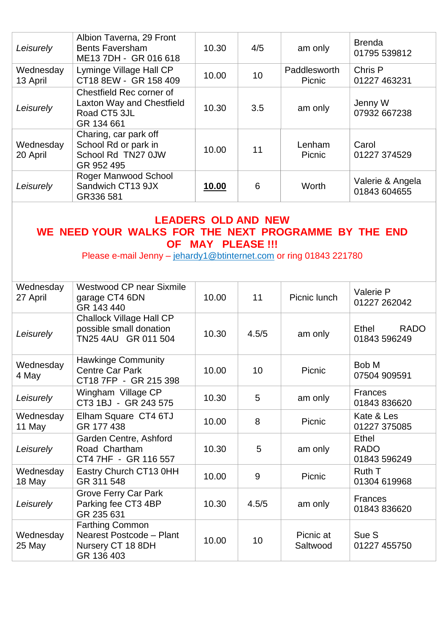| Leisurely                                                                                                                                                                            | Albion Taverna, 29 Front<br><b>Bents Faversham</b><br>ME13 7DH - GR 016 618                | 10.30        | 4/5   | am only                | <b>Brenda</b><br>01795 539812        |  |  |
|--------------------------------------------------------------------------------------------------------------------------------------------------------------------------------------|--------------------------------------------------------------------------------------------|--------------|-------|------------------------|--------------------------------------|--|--|
| Wednesday<br>13 April                                                                                                                                                                | Lyminge Village Hall CP<br>CT18 8EW - GR 158 409                                           | 10.00        | 10    | Paddlesworth<br>Picnic | Chris P<br>01227 463231              |  |  |
| Leisurely                                                                                                                                                                            | Chestfield Rec corner of<br><b>Laxton Way and Chestfield</b><br>Road CT5 3JL<br>GR 134 661 | 10.30        | 3.5   | am only                | Jenny W<br>07932 667238              |  |  |
| Wednesday<br>20 April                                                                                                                                                                | Charing, car park off<br>School Rd or park in<br>School Rd TN27 0JW<br>GR 952 495          | 10.00        | 11    | Lenham<br>Picnic       | Carol<br>01227 374529                |  |  |
| Leisurely                                                                                                                                                                            | Roger Manwood School<br>Sandwich CT13 9JX<br>GR336 581                                     | <u>10.00</u> | 6     | Worth                  | Valerie & Angela<br>01843 604655     |  |  |
| <b>LEADERS OLD AND NEW</b><br>WE NEED YOUR WALKS FOR THE NEXT PROGRAMME BY THE END<br><b>OF MAY PLEASE !!!</b><br>Please e-mail Jenny - jehardy1@btinternet.com or ring 01843 221780 |                                                                                            |              |       |                        |                                      |  |  |
| Wednesday<br>27 April                                                                                                                                                                | <b>Westwood CP near Sixmile</b><br>garage CT4 6DN<br>GR 143 440                            | 10.00        | 11    | Picnic lunch           | Valerie P<br>01227 262042            |  |  |
| Leisurely                                                                                                                                                                            | <b>Challock Village Hall CP</b><br>possible small donation<br>TN25 4AU GR 011 504          | 10.30        | 4.5/5 | am only                | Ethel<br><b>RADO</b><br>01843 596249 |  |  |
| Wednesday<br>4 May                                                                                                                                                                   | <b>Hawkinge Community</b><br><b>Centre Car Park</b><br>CT18 7FP - GR 215 398               | 10.00        | 10    | Picnic                 | Bob M<br>07504 909591                |  |  |
| Leisurely                                                                                                                                                                            | Wingham Village CP<br>CT3 1BJ - GR 243 575                                                 | 10.30        | 5     | am only                | <b>Frances</b><br>01843 836620       |  |  |
| Wednesday<br>11 May                                                                                                                                                                  | Elham Square CT4 6TJ<br>GR 177 438                                                         | 10.00        | 8     | Picnic                 | Kate & Les<br>01227 375085           |  |  |
| Leisurely                                                                                                                                                                            | Garden Centre, Ashford<br>Road Chartham<br>CT4 7HF - GR 116 557                            | 10.30        | 5     | am only                | Ethel<br><b>RADO</b><br>01843 596249 |  |  |
| Wednesday<br>18 May                                                                                                                                                                  | Eastry Church CT13 0HH<br>GR 311 548                                                       | 10.00        | 9     | Picnic                 | Ruth T<br>01304 619968               |  |  |
| Leisurely                                                                                                                                                                            | <b>Grove Ferry Car Park</b><br>Parking fee CT3 4BP<br>GR 235 631                           | 10.30        | 4.5/5 | am only                | <b>Frances</b><br>01843 836620       |  |  |
| Wednesday<br>25 May                                                                                                                                                                  | <b>Farthing Common</b><br>Nearest Postcode - Plant<br>Nursery CT 18 8DH<br>GR 136 403      | 10.00        | 10    | Picnic at<br>Saltwood  | Sue S<br>01227 455750                |  |  |